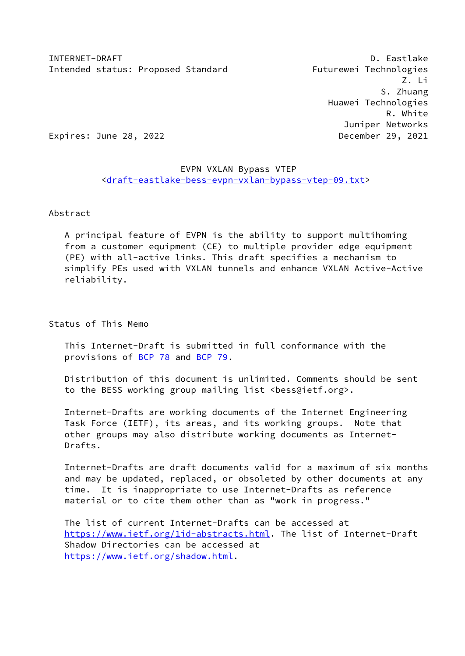Z. Li S. Zhuang Huawei Technologies R. White Juniper Networks Expires: June 28, 2022 **December 29, 2021** 

# EVPN VXLAN Bypass VTEP [<draft-eastlake-bess-evpn-vxlan-bypass-vtep-09.txt](https://datatracker.ietf.org/doc/pdf/draft-eastlake-bess-evpn-vxlan-bypass-vtep-09.txt)>

### Abstract

 A principal feature of EVPN is the ability to support multihoming from a customer equipment (CE) to multiple provider edge equipment (PE) with all-active links. This draft specifies a mechanism to simplify PEs used with VXLAN tunnels and enhance VXLAN Active-Active reliability.

Status of This Memo

 This Internet-Draft is submitted in full conformance with the provisions of [BCP 78](https://datatracker.ietf.org/doc/pdf/bcp78) and [BCP 79](https://datatracker.ietf.org/doc/pdf/bcp79).

 Distribution of this document is unlimited. Comments should be sent to the BESS working group mailing list <br/>bess@ietf.org>.

 Internet-Drafts are working documents of the Internet Engineering Task Force (IETF), its areas, and its working groups. Note that other groups may also distribute working documents as Internet- Drafts.

 Internet-Drafts are draft documents valid for a maximum of six months and may be updated, replaced, or obsoleted by other documents at any time. It is inappropriate to use Internet-Drafts as reference material or to cite them other than as "work in progress."

 The list of current Internet-Drafts can be accessed at <https://www.ietf.org/1id-abstracts.html>. The list of Internet-Draft Shadow Directories can be accessed at <https://www.ietf.org/shadow.html>.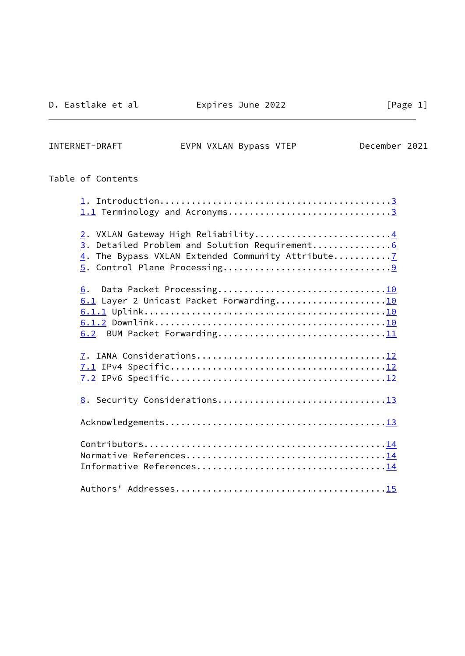INTERNET-DRAFT EVPN VXLAN Bypass VTEP December 2021

# Table of Contents

| 1.1 Terminology and Acronyms3                                                       |  |
|-------------------------------------------------------------------------------------|--|
| 2. VXLAN Gateway High Reliability4<br>3. Detailed Problem and Solution Requirement6 |  |
| 6.<br>6.1 Layer 2 Unicast Packet Forwarding10                                       |  |
|                                                                                     |  |
|                                                                                     |  |
|                                                                                     |  |
|                                                                                     |  |
|                                                                                     |  |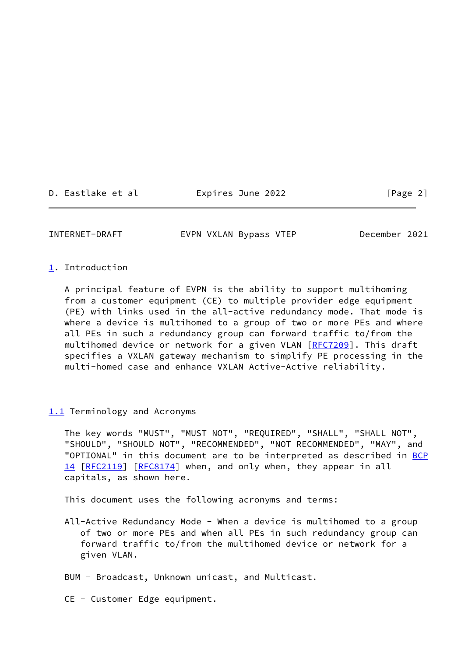D. Eastlake et al Expires June 2022 [Page 2]

<span id="page-2-1"></span>INTERNET-DRAFT EVPN VXLAN Bypass VTEP December 2021

### <span id="page-2-0"></span>[1](#page-2-0). Introduction

 A principal feature of EVPN is the ability to support multihoming from a customer equipment (CE) to multiple provider edge equipment (PE) with links used in the all-active redundancy mode. That mode is where a device is multihomed to a group of two or more PEs and where all PEs in such a redundancy group can forward traffic to/from the multihomed device or network for a given VLAN [[RFC7209](https://datatracker.ietf.org/doc/pdf/rfc7209)]. This draft specifies a VXLAN gateway mechanism to simplify PE processing in the multi-homed case and enhance VXLAN Active-Active reliability.

### <span id="page-2-2"></span>[1.1](#page-2-2) Terminology and Acronyms

 The key words "MUST", "MUST NOT", "REQUIRED", "SHALL", "SHALL NOT", "SHOULD", "SHOULD NOT", "RECOMMENDED", "NOT RECOMMENDED", "MAY", and "OPTIONAL" in this document are to be interpreted as described in [BCP](https://datatracker.ietf.org/doc/pdf/bcp14) [14](https://datatracker.ietf.org/doc/pdf/bcp14) [[RFC2119\]](https://datatracker.ietf.org/doc/pdf/rfc2119) [\[RFC8174](https://datatracker.ietf.org/doc/pdf/rfc8174)] when, and only when, they appear in all capitals, as shown here.

This document uses the following acronyms and terms:

- All-Active Redundancy Mode When a device is multihomed to a group of two or more PEs and when all PEs in such redundancy group can forward traffic to/from the multihomed device or network for a given VLAN.
- BUM Broadcast, Unknown unicast, and Multicast.
- CE Customer Edge equipment.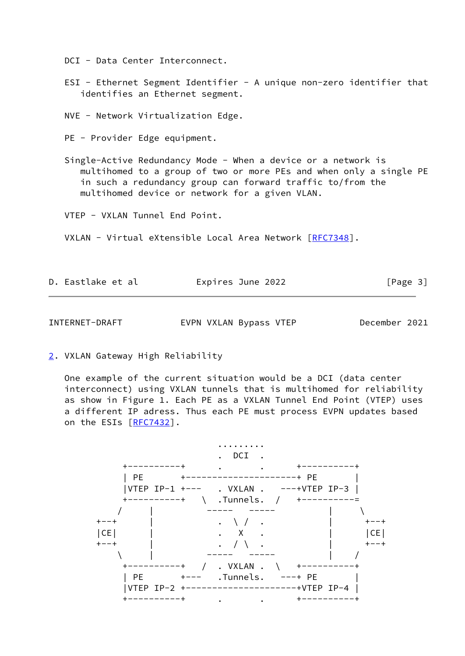DCI - Data Center Interconnect.

- ESI Ethernet Segment Identifier A unique non-zero identifier that identifies an Ethernet segment.
- NVE Network Virtualization Edge.
- PE Provider Edge equipment.
- Single-Active Redundancy Mode When a device or a network is multihomed to a group of two or more PEs and when only a single PE in such a redundancy group can forward traffic to/from the multihomed device or network for a given VLAN.
- VTEP VXLAN Tunnel End Point.
- VXLAN Virtual eXtensible Local Area Network [[RFC7348](https://datatracker.ietf.org/doc/pdf/rfc7348)].

| D. Eastlake et al | Expires June 2022 | [Page 3] |
|-------------------|-------------------|----------|
|                   |                   |          |

<span id="page-3-1"></span>INTERNET-DRAFT EVPN VXLAN Bypass VTEP December 2021

<span id="page-3-0"></span>[2](#page-3-0). VXLAN Gateway High Reliability

 One example of the current situation would be a DCI (data center interconnect) using VXLAN tunnels that is multihomed for reliability as show in Figure 1. Each PE as a VXLAN Tunnel End Point (VTEP) uses a different IP adress. Thus each PE must process EVPN updates based on the ESIs [\[RFC7432](https://datatracker.ietf.org/doc/pdf/rfc7432)].

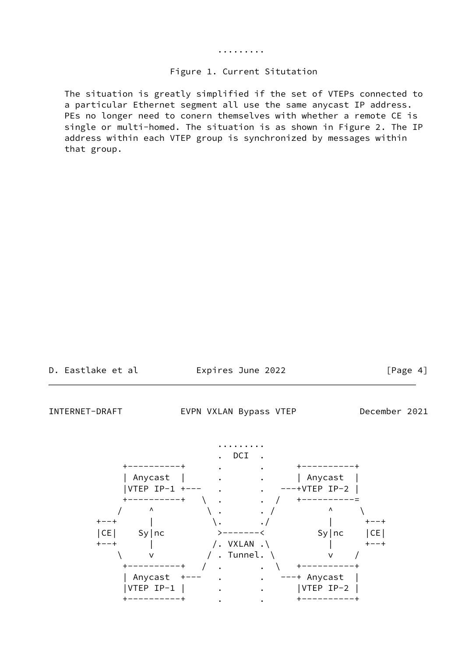#### .........

#### Figure 1. Current Situtation

 The situation is greatly simplified if the set of VTEPs connected to a particular Ethernet segment all use the same anycast IP address. PEs no longer need to conern themselves with whether a remote CE is single or multi-homed. The situation is as shown in Figure 2. The IP address within each VTEP group is synchronized by messages within that group.

Expires June 2022 [Page 4]

INTERNET-DRAFT EVPN VXLAN Bypass VTEP December 2021

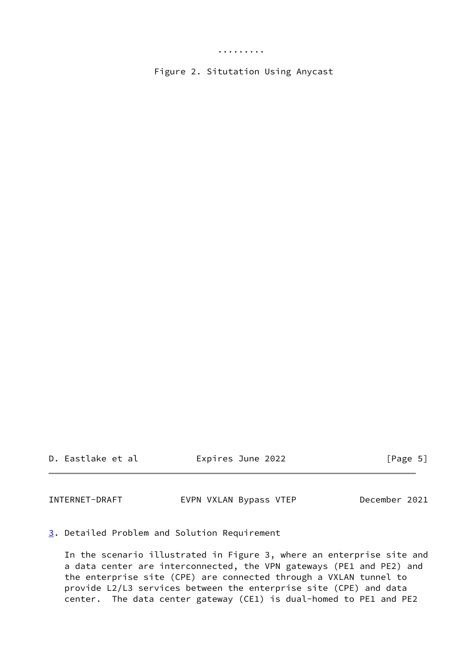Figure 2. Situtation Using Anycast

D. Eastlake et al Expires June 2022 [Page 5]

<span id="page-5-1"></span>INTERNET-DRAFT EVPN VXLAN Bypass VTEP December 2021

<span id="page-5-0"></span>[3](#page-5-0). Detailed Problem and Solution Requirement

 In the scenario illustrated in Figure 3, where an enterprise site and a data center are interconnected, the VPN gateways (PE1 and PE2) and the enterprise site (CPE) are connected through a VXLAN tunnel to provide L2/L3 services between the enterprise site (CPE) and data center. The data center gateway (CE1) is dual-homed to PE1 and PE2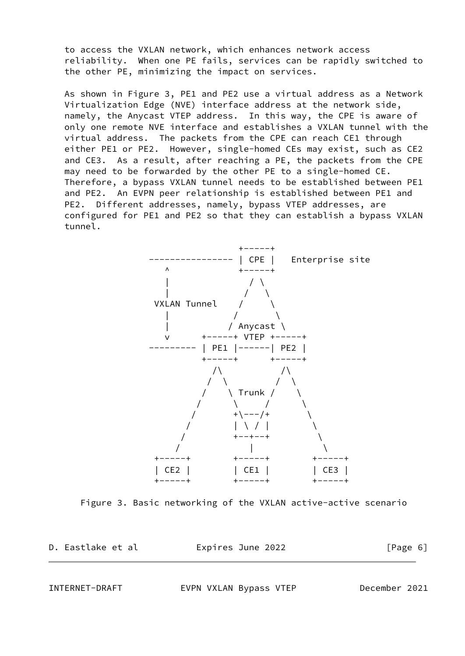to access the VXLAN network, which enhances network access reliability. When one PE fails, services can be rapidly switched to the other PE, minimizing the impact on services.

 As shown in Figure 3, PE1 and PE2 use a virtual address as a Network Virtualization Edge (NVE) interface address at the network side, namely, the Anycast VTEP address. In this way, the CPE is aware of only one remote NVE interface and establishes a VXLAN tunnel with the virtual address. The packets from the CPE can reach CE1 through either PE1 or PE2. However, single-homed CEs may exist, such as CE2 and CE3. As a result, after reaching a PE, the packets from the CPE may need to be forwarded by the other PE to a single-homed CE. Therefore, a bypass VXLAN tunnel needs to be established between PE1 and PE2. An EVPN peer relationship is established between PE1 and PE2. Different addresses, namely, bypass VTEP addresses, are configured for PE1 and PE2 so that they can establish a bypass VXLAN tunnel.



Figure 3. Basic networking of the VXLAN active-active scenario

D. Eastlake et al Expires June 2022 [Page 6]

<span id="page-6-0"></span>

INTERNET-DRAFT EVPN VXLAN Bypass VTEP December 2021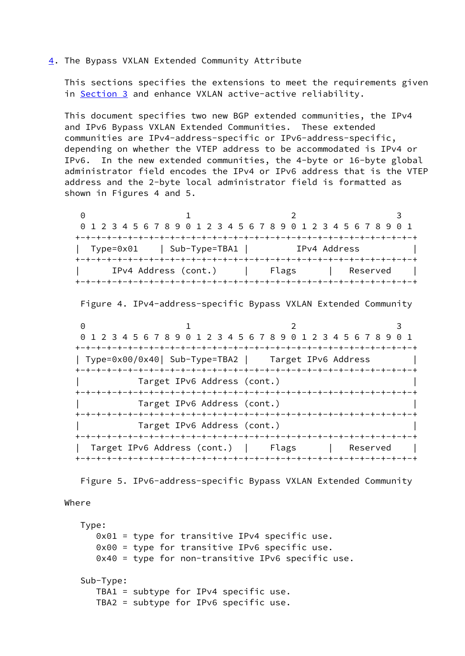#### <span id="page-7-0"></span>[4](#page-7-0). The Bypass VXLAN Extended Community Attribute

 This sections specifies the extensions to meet the requirements given in [Section 3](#page-5-0) and enhance VXLAN active-active reliability.

 This document specifies two new BGP extended communities, the IPv4 and IPv6 Bypass VXLAN Extended Communities. These extended communities are IPv4-address-specific or IPv6-address-specific, depending on whether the VTEP address to be accommodated is IPv4 or IPv6. In the new extended communities, the 4-byte or 16-byte global administrator field encodes the IPv4 or IPv6 address that is the VTEP address and the 2-byte local administrator field is formatted as shown in Figures 4 and 5.

0 1 2 3 0 1 2 3 4 5 6 7 8 9 0 1 2 3 4 5 6 7 8 9 0 1 2 3 4 5 6 7 8 9 0 1 +-+-+-+-+-+-+-+-+-+-+-+-+-+-+-+-+-+-+-+-+-+-+-+-+-+-+-+-+-+-+-+-+ | Type=0x01 | Sub-Type=TBA1 | IPv4 Address +-+-+-+-+-+-+-+-+-+-+-+-+-+-+-+-+-+-+-+-+-+-+-+-+-+-+-+-+-+-+-+-+ IPv4 Address (cont.) | Flags | Reserved +-+-+-+-+-+-+-+-+-+-+-+-+-+-+-+-+-+-+-+-+-+-+-+-+-+-+-+-+-+-+-+-+

Figure 4. IPv4-address-specific Bypass VXLAN Extended Community

0 1 2 3 0 1 2 3 4 5 6 7 8 9 0 1 2 3 4 5 6 7 8 9 0 1 2 3 4 5 6 7 8 9 0 1 +-+-+-+-+-+-+-+-+-+-+-+-+-+-+-+-+-+-+-+-+-+-+-+-+-+-+-+-+-+-+-+-+ | Type=0x00/0x40| Sub-Type=TBA2 | Target IPv6 Address | +-+-+-+-+-+-+-+-+-+-+-+-+-+-+-+-+-+-+-+-+-+-+-+-+-+-+-+-+-+-+-+-+ | Target IPv6 Address (cont.) | +-+-+-+-+-+-+-+-+-+-+-+-+-+-+-+-+-+-+-+-+-+-+-+-+-+-+-+-+-+-+-+-+ | Target IPv6 Address (cont.) | +-+-+-+-+-+-+-+-+-+-+-+-+-+-+-+-+-+-+-+-+-+-+-+-+-+-+-+-+-+-+-+-+ | Target IPv6 Address (cont.) | +-+-+-+-+-+-+-+-+-+-+-+-+-+-+-+-+-+-+-+-+-+-+-+-+-+-+-+-+-+-+-+-+ | Target IPv6 Address (cont.) | Flags | Reserved +-+-+-+-+-+-+-+-+-+-+-+-+-+-+-+-+-+-+-+-+-+-+-+-+-+-+-+-+-+-+-+-+

Figure 5. IPv6-address-specific Bypass VXLAN Extended Community

#### Where

 Type: 0x01 = type for transitive IPv4 specific use. 0x00 = type for transitive IPv6 specific use. 0x40 = type for non-transitive IPv6 specific use. Sub-Type: TBA1 = subtype for IPv4 specific use. TBA2 = subtype for IPv6 specific use.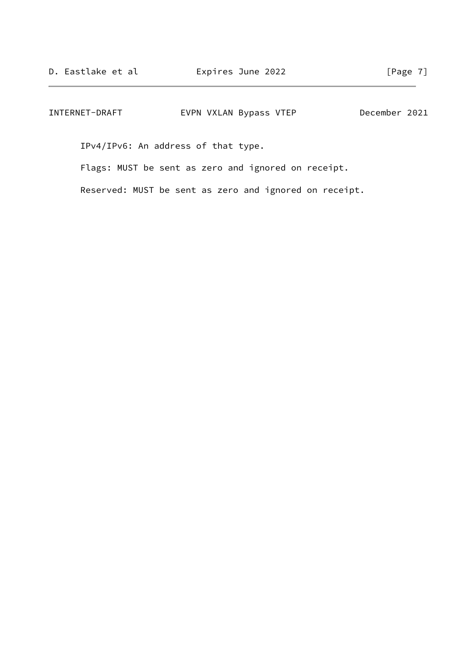| INTERNET-DRAFT | EVPN VXLAN Bypass VTEP | December 2021 |
|----------------|------------------------|---------------|
|----------------|------------------------|---------------|

IPv4/IPv6: An address of that type.

Flags: MUST be sent as zero and ignored on receipt.

Reserved: MUST be sent as zero and ignored on receipt.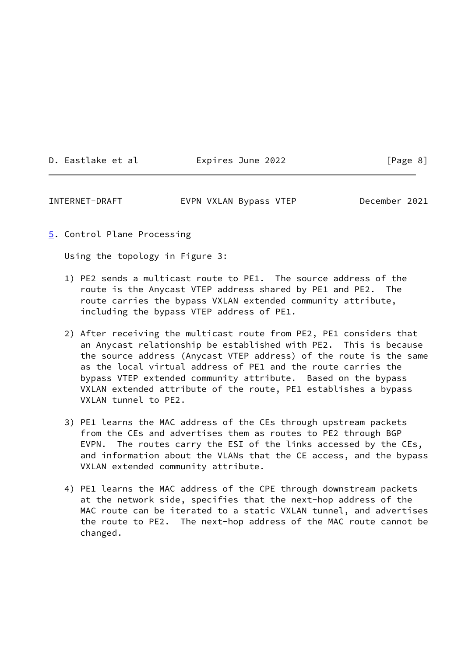|  |  | D. Eastlake et al |  |  |
|--|--|-------------------|--|--|
|--|--|-------------------|--|--|

Expires June 2022 [Page 8]

<span id="page-9-1"></span>INTERNET-DRAFT EVPN VXLAN Bypass VTEP December 2021

<span id="page-9-0"></span>[5](#page-9-0). Control Plane Processing

Using the topology in Figure 3:

- 1) PE2 sends a multicast route to PE1. The source address of the route is the Anycast VTEP address shared by PE1 and PE2. The route carries the bypass VXLAN extended community attribute, including the bypass VTEP address of PE1.
- 2) After receiving the multicast route from PE2, PE1 considers that an Anycast relationship be established with PE2. This is because the source address (Anycast VTEP address) of the route is the same as the local virtual address of PE1 and the route carries the bypass VTEP extended community attribute. Based on the bypass VXLAN extended attribute of the route, PE1 establishes a bypass VXLAN tunnel to PE2.
- 3) PE1 learns the MAC address of the CEs through upstream packets from the CEs and advertises them as routes to PE2 through BGP EVPN. The routes carry the ESI of the links accessed by the CEs, and information about the VLANs that the CE access, and the bypass VXLAN extended community attribute.
- 4) PE1 learns the MAC address of the CPE through downstream packets at the network side, specifies that the next-hop address of the MAC route can be iterated to a static VXLAN tunnel, and advertises the route to PE2. The next-hop address of the MAC route cannot be changed.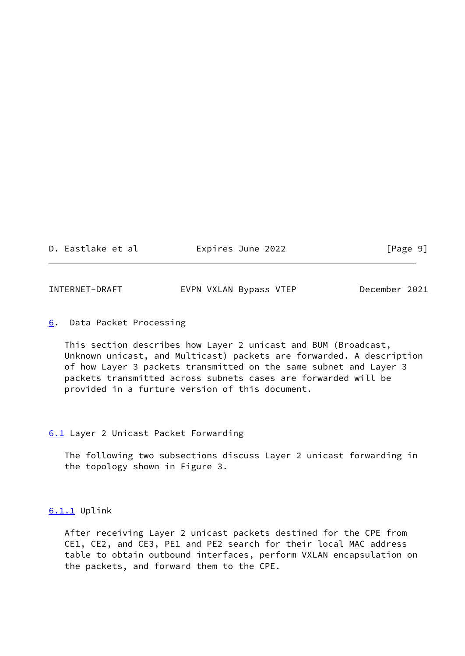D. Eastlake et al expires June 2022 [Page 9]

<span id="page-10-1"></span>

| INTERNET-DRAFT | EVPN VXLAN Bypass VTEP | December 2021 |
|----------------|------------------------|---------------|
|----------------|------------------------|---------------|

<span id="page-10-0"></span>[6](#page-10-0). Data Packet Processing

 This section describes how Layer 2 unicast and BUM (Broadcast, Unknown unicast, and Multicast) packets are forwarded. A description of how Layer 3 packets transmitted on the same subnet and Layer 3 packets transmitted across subnets cases are forwarded will be provided in a furture version of this document.

### <span id="page-10-2"></span>[6.1](#page-10-2) Layer 2 Unicast Packet Forwarding

 The following two subsections discuss Layer 2 unicast forwarding in the topology shown in Figure 3.

## <span id="page-10-3"></span>[6.1.1](#page-10-3) Uplink

 After receiving Layer 2 unicast packets destined for the CPE from CE1, CE2, and CE3, PE1 and PE2 search for their local MAC address table to obtain outbound interfaces, perform VXLAN encapsulation on the packets, and forward them to the CPE.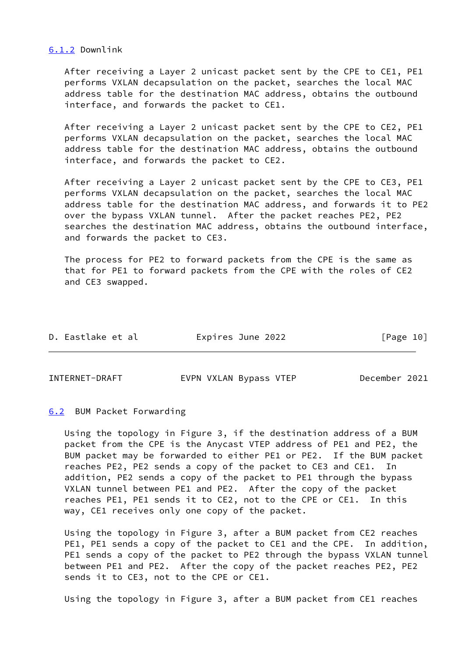#### <span id="page-11-0"></span>[6.1.2](#page-11-0) Downlink

 After receiving a Layer 2 unicast packet sent by the CPE to CE1, PE1 performs VXLAN decapsulation on the packet, searches the local MAC address table for the destination MAC address, obtains the outbound interface, and forwards the packet to CE1.

 After receiving a Layer 2 unicast packet sent by the CPE to CE2, PE1 performs VXLAN decapsulation on the packet, searches the local MAC address table for the destination MAC address, obtains the outbound interface, and forwards the packet to CE2.

 After receiving a Layer 2 unicast packet sent by the CPE to CE3, PE1 performs VXLAN decapsulation on the packet, searches the local MAC address table for the destination MAC address, and forwards it to PE2 over the bypass VXLAN tunnel. After the packet reaches PE2, PE2 searches the destination MAC address, obtains the outbound interface, and forwards the packet to CE3.

 The process for PE2 to forward packets from the CPE is the same as that for PE1 to forward packets from the CPE with the roles of CE2 and CE3 swapped.

| D. Eastlake et al | Expires June 2022 | [Page 10] |
|-------------------|-------------------|-----------|
|                   |                   |           |

<span id="page-11-2"></span>

INTERNET-DRAFT EVPN VXLAN Bypass VTEP December 2021

#### <span id="page-11-1"></span>[6.2](#page-11-1) BUM Packet Forwarding

 Using the topology in Figure 3, if the destination address of a BUM packet from the CPE is the Anycast VTEP address of PE1 and PE2, the BUM packet may be forwarded to either PE1 or PE2. If the BUM packet reaches PE2, PE2 sends a copy of the packet to CE3 and CE1. In addition, PE2 sends a copy of the packet to PE1 through the bypass VXLAN tunnel between PE1 and PE2. After the copy of the packet reaches PE1, PE1 sends it to CE2, not to the CPE or CE1. In this way, CE1 receives only one copy of the packet.

 Using the topology in Figure 3, after a BUM packet from CE2 reaches PE1, PE1 sends a copy of the packet to CE1 and the CPE. In addition, PE1 sends a copy of the packet to PE2 through the bypass VXLAN tunnel between PE1 and PE2. After the copy of the packet reaches PE2, PE2 sends it to CE3, not to the CPE or CE1.

Using the topology in Figure 3, after a BUM packet from CE1 reaches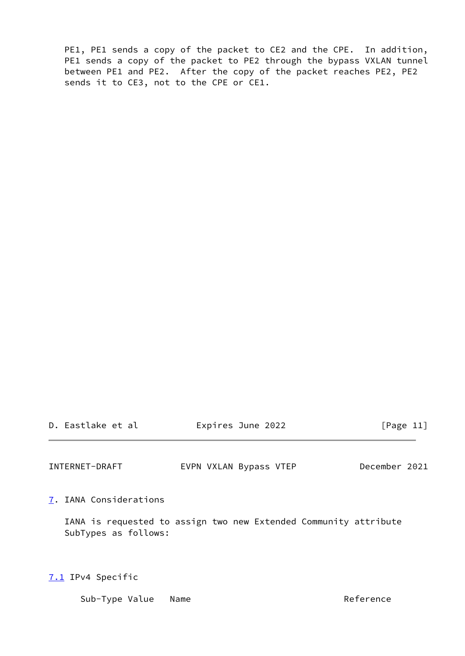PE1, PE1 sends a copy of the packet to CE2 and the CPE. In addition, PE1 sends a copy of the packet to PE2 through the bypass VXLAN tunnel between PE1 and PE2. After the copy of the packet reaches PE2, PE2 sends it to CE3, not to the CPE or CE1.

| D. Eastlake et al | Expires June 2022 | [Page 11] |
|-------------------|-------------------|-----------|

<span id="page-12-1"></span>INTERNET-DRAFT EVPN VXLAN Bypass VTEP December 2021

<span id="page-12-0"></span>[7](#page-12-0). IANA Considerations

 IANA is requested to assign two new Extended Community attribute SubTypes as follows:

<span id="page-12-2"></span>[7.1](#page-12-2) IPv4 Specific

Sub-Type Value Name **Reference**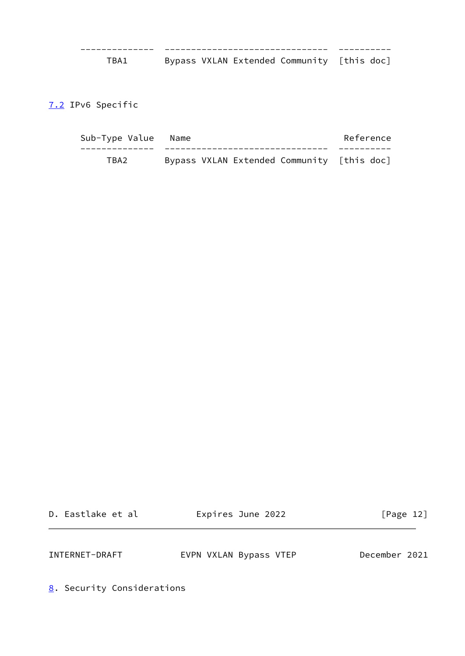-------------- ------------------------------- ---------- TBA1 Bypass VXLAN Extended Community [this doc]

<span id="page-13-0"></span>[7.2](#page-13-0) IPv6 Specific

| Sub-Type Value Name |                                            | Reference |
|---------------------|--------------------------------------------|-----------|
|                     |                                            |           |
| TBA2.               | Bypass VXLAN Extended Community [this doc] |           |

| D. Eastlake et al |  |
|-------------------|--|
|                   |  |

Expires June 2022 [Page 12]

<span id="page-13-2"></span>INTERNET-DRAFT EVPN VXLAN Bypass VTEP December 2021

<span id="page-13-1"></span>[8](#page-13-1). Security Considerations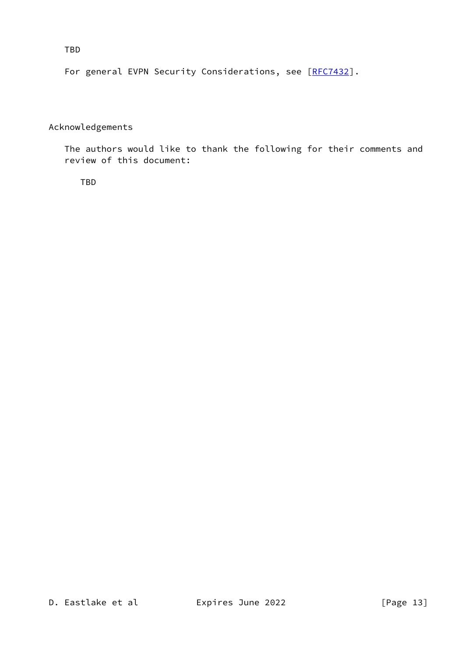TBD

For general EVPN Security Considerations, see [[RFC7432](https://datatracker.ietf.org/doc/pdf/rfc7432)].

# Acknowledgements

 The authors would like to thank the following for their comments and review of this document:

TBD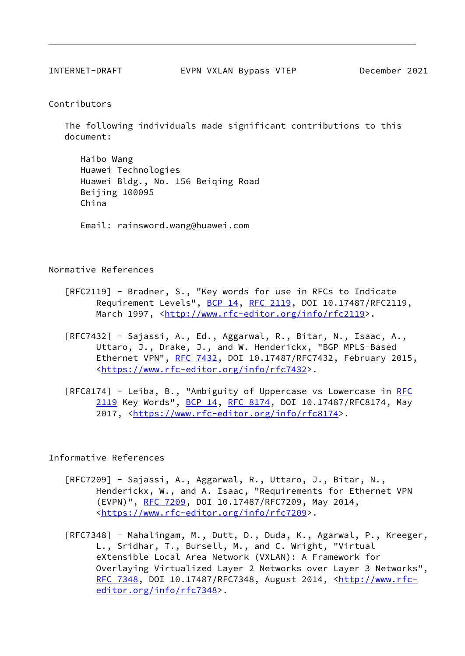<span id="page-15-0"></span>

#### Contributors

 The following individuals made significant contributions to this document:

 Haibo Wang Huawei Technologies Huawei Bldg., No. 156 Beiqing Road Beijing 100095 China

Email: rainsword.wang@huawei.com

Normative References

- [RFC2119] Bradner, S., "Key words for use in RFCs to Indicate Requirement Levels", [BCP 14](https://datatracker.ietf.org/doc/pdf/bcp14), [RFC 2119,](https://datatracker.ietf.org/doc/pdf/rfc2119) DOI 10.17487/RFC2119, March 1997, <<http://www.rfc-editor.org/info/rfc2119>>.
- [RFC7432] Sajassi, A., Ed., Aggarwal, R., Bitar, N., Isaac, A., Uttaro, J., Drake, J., and W. Henderickx, "BGP MPLS-Based Ethernet VPN", [RFC 7432](https://datatracker.ietf.org/doc/pdf/rfc7432), DOI 10.17487/RFC7432, February 2015, <<https://www.rfc-editor.org/info/rfc7432>>.
- [[RFC](https://datatracker.ietf.org/doc/pdf/rfc2119)8174] Leiba, B., "Ambiguity of Uppercase vs Lowercase in RFC [2119](https://datatracker.ietf.org/doc/pdf/rfc2119) Key Words", [BCP 14](https://datatracker.ietf.org/doc/pdf/bcp14), [RFC 8174,](https://datatracker.ietf.org/doc/pdf/rfc8174) DOI 10.17487/RFC8174, May 2017, [<https://www.rfc-editor.org/info/rfc8174](https://www.rfc-editor.org/info/rfc8174)>.

Informative References

- [RFC7209] Sajassi, A., Aggarwal, R., Uttaro, J., Bitar, N., Henderickx, W., and A. Isaac, "Requirements for Ethernet VPN (EVPN)", [RFC 7209,](https://datatracker.ietf.org/doc/pdf/rfc7209) DOI 10.17487/RFC7209, May 2014, <<https://www.rfc-editor.org/info/rfc7209>>.
- [RFC7348] Mahalingam, M., Dutt, D., Duda, K., Agarwal, P., Kreeger, L., Sridhar, T., Bursell, M., and C. Wright, "Virtual eXtensible Local Area Network (VXLAN): A Framework for Overlaying Virtualized Layer 2 Networks over Layer 3 Networks", [RFC 7348](https://datatracker.ietf.org/doc/pdf/rfc7348), DOI 10.17487/RFC7348, August 2014, <[http://www.rfc](http://www.rfc-editor.org/info/rfc7348) [editor.org/info/rfc7348](http://www.rfc-editor.org/info/rfc7348)>.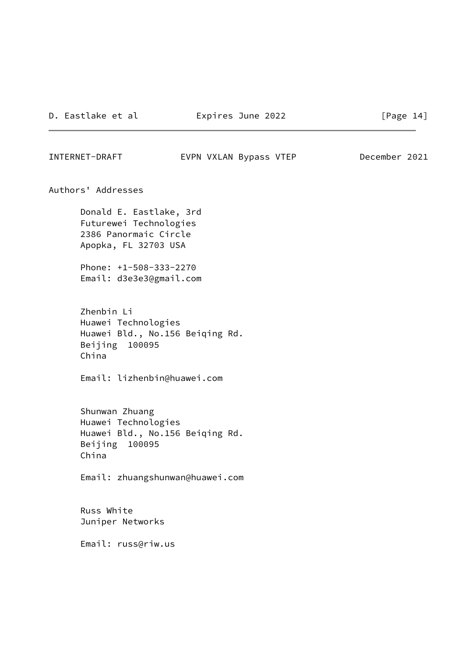<span id="page-16-0"></span>INTERNET-DRAFT EVPN VXLAN Bypass VTEP December 2021

Authors' Addresses

 Donald E. Eastlake, 3rd Futurewei Technologies 2386 Panormaic Circle Apopka, FL 32703 USA

 Phone: +1-508-333-2270 Email: d3e3e3@gmail.com

 Zhenbin Li Huawei Technologies Huawei Bld., No.156 Beiqing Rd. Beijing 100095 China

Email: lizhenbin@huawei.com

 Shunwan Zhuang Huawei Technologies Huawei Bld., No.156 Beiqing Rd. Beijing 100095 China

Email: zhuangshunwan@huawei.com

 Russ White Juniper Networks

Email: russ@riw.us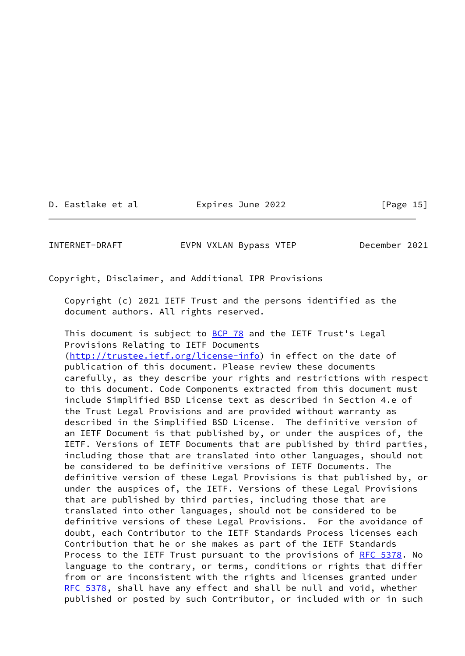D. Eastlake et al Expires June 2022 [Page 15]

INTERNET-DRAFT EVPN VXLAN Bypass VTEP December 2021

Copyright, Disclaimer, and Additional IPR Provisions

 Copyright (c) 2021 IETF Trust and the persons identified as the document authors. All rights reserved.

This document is subject to  $BCP$  78 and the IETF Trust's Legal Provisions Relating to IETF Documents [\(http://trustee.ietf.org/license-info](http://trustee.ietf.org/license-info)) in effect on the date of publication of this document. Please review these documents carefully, as they describe your rights and restrictions with respect to this document. Code Components extracted from this document must include Simplified BSD License text as described in Section 4.e of the Trust Legal Provisions and are provided without warranty as described in the Simplified BSD License. The definitive version of an IETF Document is that published by, or under the auspices of, the IETF. Versions of IETF Documents that are published by third parties, including those that are translated into other languages, should not be considered to be definitive versions of IETF Documents. The definitive version of these Legal Provisions is that published by, or under the auspices of, the IETF. Versions of these Legal Provisions that are published by third parties, including those that are translated into other languages, should not be considered to be definitive versions of these Legal Provisions. For the avoidance of doubt, each Contributor to the IETF Standards Process licenses each Contribution that he or she makes as part of the IETF Standards Process to the IETF Trust pursuant to the provisions of [RFC 5378](https://datatracker.ietf.org/doc/pdf/rfc5378). No language to the contrary, or terms, conditions or rights that differ from or are inconsistent with the rights and licenses granted under [RFC 5378](https://datatracker.ietf.org/doc/pdf/rfc5378), shall have any effect and shall be null and void, whether published or posted by such Contributor, or included with or in such